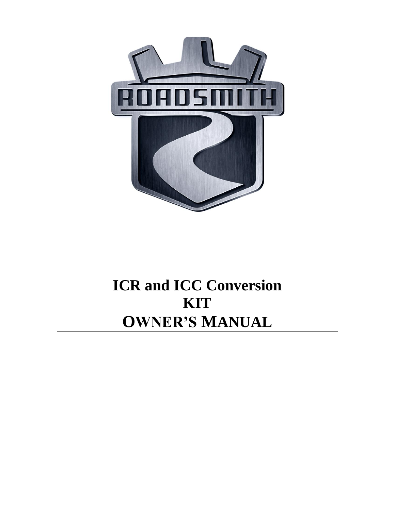

# **ICR and ICC Conversion KIT OWNER'S MANUAL**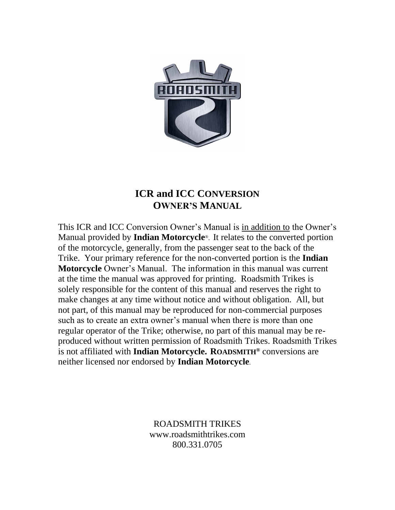

# **ICR and ICC CONVERSION OWNER'S MANUAL**

This ICR and ICC Conversion Owner's Manual is in addition to the Owner's Manual provided by **Indian Motorcycle**®. It relates to the converted portion of the motorcycle, generally, from the passenger seat to the back of the Trike. Your primary reference for the non-converted portion is the **Indian Motorcycle** Owner's Manual. The information in this manual was current at the time the manual was approved for printing. Roadsmith Trikes is solely responsible for the content of this manual and reserves the right to make changes at any time without notice and without obligation. All, but not part, of this manual may be reproduced for non-commercial purposes such as to create an extra owner's manual when there is more than one regular operator of the Trike; otherwise, no part of this manual may be reproduced without written permission of Roadsmith Trikes. Roadsmith Trikes is not affiliated with **Indian Motorcycle. ROADSMITH®** conversions are neither licensed nor endorsed by **Indian Motorcycle**.

> ROADSMITH TRIKES www.roadsmithtrikes.com 800.331.0705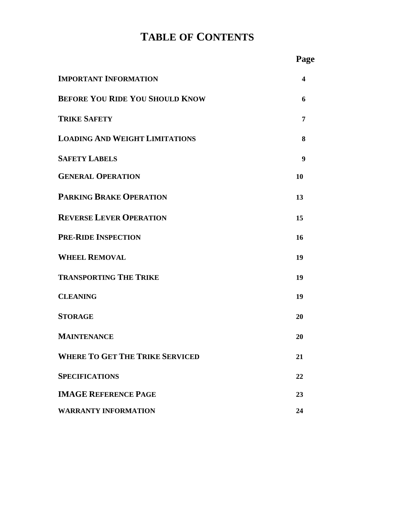# **TABLE OF CONTENTS**

|                                        | Page                    |
|----------------------------------------|-------------------------|
| <b>IMPORTANT INFORMATION</b>           | $\overline{\mathbf{4}}$ |
| <b>BEFORE YOU RIDE YOU SHOULD KNOW</b> | 6                       |
| <b>TRIKE SAFETY</b>                    | 7                       |
| <b>LOADING AND WEIGHT LIMITATIONS</b>  | 8                       |
| <b>SAFETY LABELS</b>                   | 9                       |
| <b>GENERAL OPERATION</b>               | 10                      |
| <b>PARKING BRAKE OPERATION</b>         | 13                      |
| <b>REVERSE LEVER OPERATION</b>         | 15                      |
| <b>PRE-RIDE INSPECTION</b>             | 16                      |
| <b>WHEEL REMOVAL</b>                   | 19                      |
| <b>TRANSPORTING THE TRIKE</b>          | 19                      |
| <b>CLEANING</b>                        | 19                      |
| <b>STORAGE</b>                         | 20                      |
| MAINTENANCE                            | 20                      |
| <b>WHERE TO GET THE TRIKE SERVICED</b> | 21                      |
| <b>SPECIFICATIONS</b>                  | 22                      |
| <b>IMAGE REFERENCE PAGE</b>            | 23                      |
| <b>WARRANTY INFORMATION</b>            | 24                      |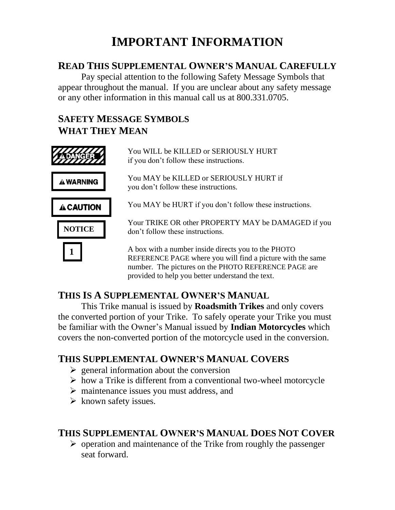# **IMPORTANT INFORMATION**

## **READ THIS SUPPLEMENTAL OWNER'S MANUAL CAREFULLY**

Pay special attention to the following Safety Message Symbols that appear throughout the manual. If you are unclear about any safety message or any other information in this manual call us at 800.331.0705.

# **SAFETY MESSAGE SYMBOLS WHAT THEY MEAN**



# **THIS IS A SUPPLEMENTAL OWNER'S MANUAL**

This Trike manual is issued by **Roadsmith Trikes** and only covers the converted portion of your Trike. To safely operate your Trike you must be familiar with the Owner's Manual issued by **Indian Motorcycles** which covers the non-converted portion of the motorcycle used in the conversion.

# **THIS SUPPLEMENTAL OWNER'S MANUAL COVERS**

- $\triangleright$  general information about the conversion
- ➢ how a Trike is different from a conventional two-wheel motorcycle
- ➢ maintenance issues you must address, and
- $\triangleright$  known safety issues.

# **THIS SUPPLEMENTAL OWNER'S MANUAL DOES NOT COVER**

 $\triangleright$  operation and maintenance of the Trike from roughly the passenger seat forward.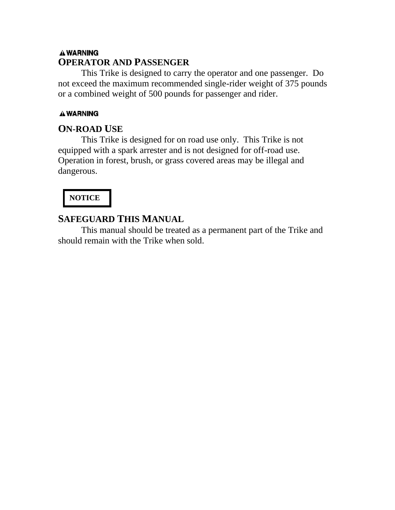### **A WARNING OPERATOR AND PASSENGER**

This Trike is designed to carry the operator and one passenger. Do not exceed the maximum recommended single-rider weight of 375 pounds or a combined weight of 500 pounds for passenger and rider.

### **AWARNING**

### **ON-ROAD USE**

This Trike is designed for on road use only. This Trike is not equipped with a spark arrester and is not designed for off-road use. Operation in forest, brush, or grass covered areas may be illegal and dangerous.

# **NOTICE**

# **SAFEGUARD THIS MANUAL**

This manual should be treated as a permanent part of the Trike and should remain with the Trike when sold.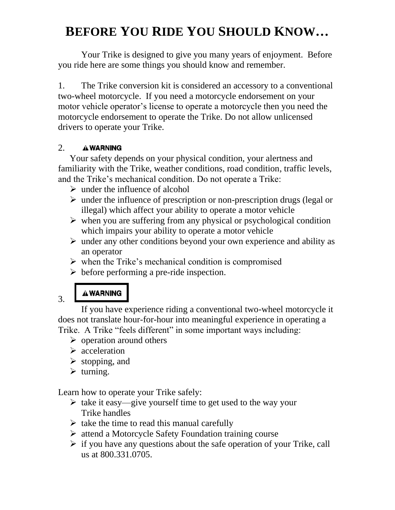# **BEFORE YOU RIDE YOU SHOULD KNOW…**

Your Trike is designed to give you many years of enjoyment. Before you ride here are some things you should know and remember.

1. The Trike conversion kit is considered an accessory to a conventional two-wheel motorcycle. If you need a motorcycle endorsement on your motor vehicle operator's license to operate a motorcycle then you need the motorcycle endorsement to operate the Trike. Do not allow unlicensed drivers to operate your Trike.

#### 2. A WARNING

Your safety depends on your physical condition, your alertness and familiarity with the Trike, weather conditions, road condition, traffic levels, and the Trike's mechanical condition. Do not operate a Trike:

- $\triangleright$  under the influence of alcohol
- $\triangleright$  under the influence of prescription or non-prescription drugs (legal or illegal) which affect your ability to operate a motor vehicle
- $\triangleright$  when you are suffering from any physical or psychological condition which impairs your ability to operate a motor vehicle
- $\triangleright$  under any other conditions beyond your own experience and ability as an operator
- $\triangleright$  when the Trike's mechanical condition is compromised
- $\triangleright$  before performing a pre-ride inspection.

# **AWARNING**

3.

If you have experience riding a conventional two-wheel motorcycle it does not translate hour-for-hour into meaningful experience in operating a Trike. A Trike "feels different" in some important ways including:

- $\triangleright$  operation around others
- ➢ acceleration
- $\triangleright$  stopping, and
- $\triangleright$  turning.

Learn how to operate your Trike safely:

- ➢ take it easy—give yourself time to get used to the way your Trike handles
- $\triangleright$  take the time to read this manual carefully
- ➢ attend a Motorcycle Safety Foundation training course
- $\triangleright$  if you have any questions about the safe operation of your Trike, call us at 800.331.0705.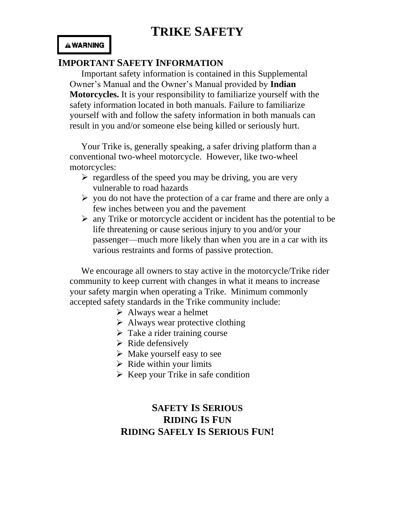#### **A WARNING**

## **IMPORTANT SAFETY INFORMATION**

Important safety information is contained in this Supplemental Owner's Manual and the Owner's Manual provided by **Indian Motorcycles.** It is your responsibility to familiarize yourself with the safety information located in both manuals. Failure to familiarize yourself with and follow the safety information in both manuals can result in you and/or someone else being killed or seriously hurt.

Your Trike is, generally speaking, a safer driving platform than a conventional two-wheel motorcycle. However, like two-wheel motorcycles:

- $\triangleright$  regardless of the speed you may be driving, you are very vulnerable to road hazards
- $\triangleright$  you do not have the protection of a car frame and there are only a few inches between you and the pavement
- $\triangleright$  any Trike or motorcycle accident or incident has the potential to be life threatening or cause serious injury to you and/or your passenger—much more likely than when you are in a car with its various restraints and forms of passive protection.

We encourage all owners to stay active in the motorcycle/Trike rider community to keep current with changes in what it means to increase your safety margin when operating a Trike. Minimum commonly accepted safety standards in the Trike community include:

- $\triangleright$  Always wear a helmet
- $\triangleright$  Always wear protective clothing
- $\triangleright$  Take a rider training course
- ➢ Ride defensively
- $\triangleright$  Make yourself easy to see
- $\triangleright$  Ride within your limits
- $\triangleright$  Keep your Trike in safe condition

# **SAFETY IS SERIOUS RIDING IS FUN RIDING SAFELY IS SERIOUS FUN!**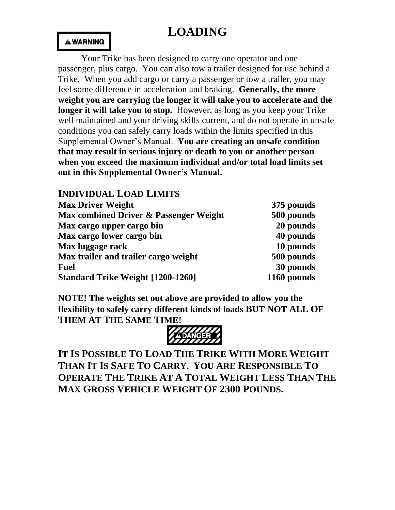# **LOADING**

#### **AWARNING**

Your Trike has been designed to carry one operator and one passenger, plus cargo. You can also tow a trailer designed for use behind a Trike. When you add cargo or carry a passenger or tow a trailer, you may feel some difference in acceleration and braking. **Generally, the more weight you are carrying the longer it will take you to accelerate and the longer it will take you to stop.** However, as long as you keep your Trike well maintained and your driving skills current, and do not operate in unsafe conditions you can safely carry loads within the limits specified in this Supplemental Owner's Manual. **You are creating an unsafe condition that may result in serious injury or death to you or another person when you exceed the maximum individual and/or total load limits set out in this Supplemental Owner's Manual.** 

| <b>INDIVIDUAL LOAD LIMITS</b>            |             |
|------------------------------------------|-------------|
| <b>Max Driver Weight</b>                 | 375 pounds  |
| Max combined Driver & Passenger Weight   | 500 pounds  |
| Max cargo upper cargo bin                | 20 pounds   |
| Max cargo lower cargo bin                | 40 pounds   |
| Max luggage rack                         | 10 pounds   |
| Max trailer and trailer cargo weight     | 500 pounds  |
| <b>Fuel</b>                              | 30 pounds   |
| <b>Standard Trike Weight [1200-1260]</b> | 1160 pounds |

**NOTE! The weights set out above are provided to allow you the flexibility to safely carry different kinds of loads BUT NOT ALL OF THEM AT THE SAME TIME!** 



**IT IS POSSIBLE TO LOAD THE TRIKE WITH MORE WEIGHT THAN IT IS SAFE TO CARRY. YOU ARE RESPONSIBLE TO OPERATE THE TRIKE AT A TOTAL WEIGHT LESS THAN THE MAX GROSS VEHICLE WEIGHT OF 2300 POUNDS.**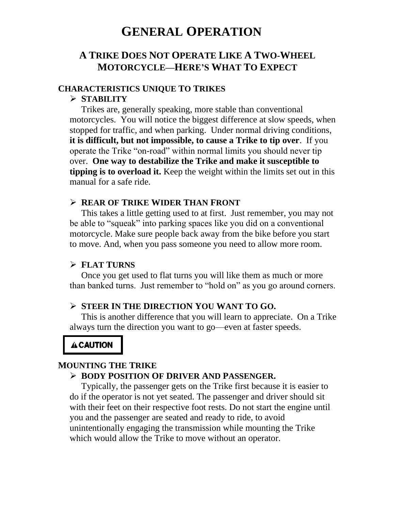# **GENERAL OPERATION**

### **A TRIKE DOES NOT OPERATE LIKE A TWO-WHEEL MOTORCYCLE—HERE'S WHAT TO EXPECT**

#### **CHARACTERISTICS UNIQUE TO TRIKES**

#### ➢ **STABILITY**

Trikes are, generally speaking, more stable than conventional motorcycles. You will notice the biggest difference at slow speeds, when stopped for traffic, and when parking. Under normal driving conditions, **it is difficult, but not impossible, to cause a Trike to tip over**. If you operate the Trike "on-road" within normal limits you should never tip over. **One way to destabilize the Trike and make it susceptible to tipping is to overload it.** Keep the weight within the limits set out in this manual for a safe ride.

#### ➢ **REAR OF TRIKE WIDER THAN FRONT**

This takes a little getting used to at first. Just remember, you may not be able to "squeak" into parking spaces like you did on a conventional motorcycle. Make sure people back away from the bike before you start to move. And, when you pass someone you need to allow more room.

#### ➢ **FLAT TURNS**

Once you get used to flat turns you will like them as much or more than banked turns. Just remember to "hold on" as you go around corners.

#### ➢ **STEER IN THE DIRECTION YOU WANT TO GO.**

This is another difference that you will learn to appreciate. On a Trike always turn the direction you want to go—even at faster speeds.

#### **A CAUTION**

#### **MOUNTING THE TRIKE**

#### ➢ **BODY POSITION OF DRIVER AND PASSENGER.**

Typically, the passenger gets on the Trike first because it is easier to do if the operator is not yet seated. The passenger and driver should sit with their feet on their respective foot rests. Do not start the engine until you and the passenger are seated and ready to ride, to avoid unintentionally engaging the transmission while mounting the Trike which would allow the Trike to move without an operator.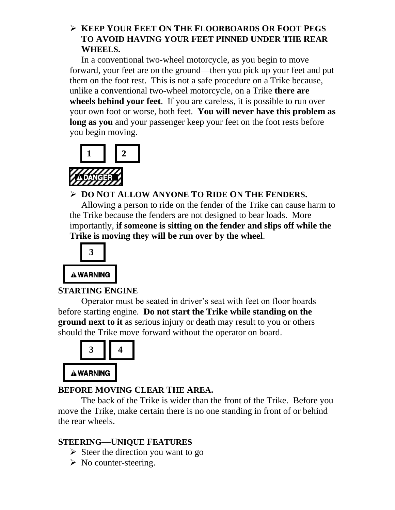### ➢ **KEEP YOUR FEET ON THE FLOORBOARDS OR FOOT PEGS TO AVOID HAVING YOUR FEET PINNED UNDER THE REAR WHEELS.**

In a conventional two-wheel motorcycle, as you begin to move forward, your feet are on the ground—then you pick up your feet and put them on the foot rest. This is not a safe procedure on a Trike because, unlike a conventional two-wheel motorcycle, on a Trike **there are wheels behind your feet**. If you are careless, it is possible to run over your own foot or worse, both feet. **You will never have this problem as long as you** and your passenger keep your feet on the foot rests before you begin moving.





➢ **DO NOT ALLOW ANYONE TO RIDE ON THE FENDERS.** 

Allowing a person to ride on the fender of the Trike can cause harm to the Trike because the fenders are not designed to bear loads. More importantly, **if someone is sitting on the fender and slips off while the Trike is moving they will be run over by the wheel**.



## **STARTING ENGINE**

Operator must be seated in driver's seat with feet on floor boards before starting engine. **Do not start the Trike while standing on the ground next to it** as serious injury or death may result to you or others should the Trike move forward without the operator on board.



# **BEFORE MOVING CLEAR THE AREA.**

The back of the Trike is wider than the front of the Trike. Before you move the Trike, make certain there is no one standing in front of or behind the rear wheels.

## **STEERING—UNIQUE FEATURES**

- $\triangleright$  Steer the direction you want to go
- $\triangleright$  No counter-steering.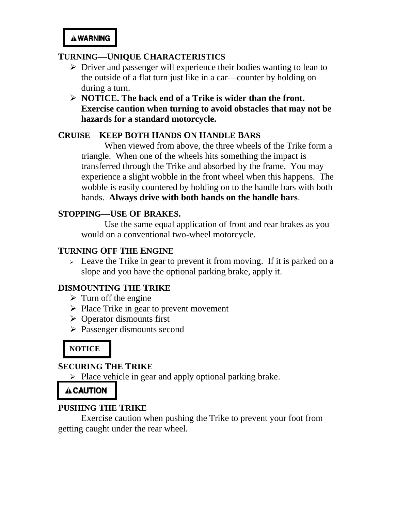#### **TURNING—UNIQUE CHARACTERISTICS**

- ➢ Driver and passenger will experience their bodies wanting to lean to the outside of a flat turn just like in a car—counter by holding on during a turn.
- ➢ **NOTICE. The back end of a Trike is wider than the front. Exercise caution when turning to avoid obstacles that may not be hazards for a standard motorcycle.**

#### **CRUISE—KEEP BOTH HANDS ON HANDLE BARS**

When viewed from above, the three wheels of the Trike form a triangle. When one of the wheels hits something the impact is transferred through the Trike and absorbed by the frame. You may experience a slight wobble in the front wheel when this happens. The wobble is easily countered by holding on to the handle bars with both hands. **Always drive with both hands on the handle bars**.

### **STOPPING—USE OF BRAKES.**

Use the same equal application of front and rear brakes as you would on a conventional two-wheel motorcycle.

#### **TURNING OFF THE ENGINE**

➢ Leave the Trike in gear to prevent it from moving. If it is parked on a slope and you have the optional parking brake, apply it.

#### **DISMOUNTING THE TRIKE**

- $\triangleright$  Turn off the engine
- $\triangleright$  Place Trike in gear to prevent movement
- ➢ Operator dismounts first
- ➢ Passenger dismounts second

## **NOTICE**

#### **SECURING THE TRIKE**

➢ Place vehicle in gear and apply optional parking brake.

### **A CAUTION**

### **PUSHING THE TRIKE**

Exercise caution when pushing the Trike to prevent your foot from getting caught under the rear wheel.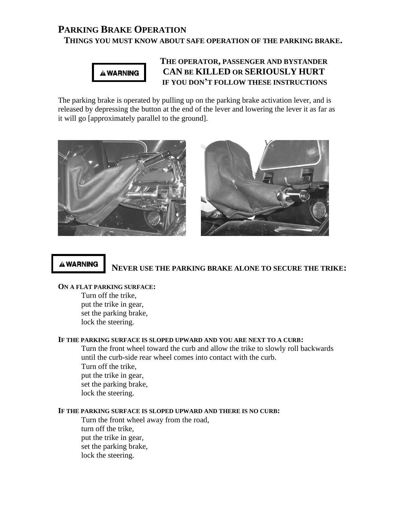## **PARKING BRAKE OPERATION**

#### **THINGS YOU MUST KNOW ABOUT SAFE OPERATION OF THE PARKING BRAKE.**



#### **THE OPERATOR, PASSENGER AND BYSTANDER CAN BE KILLED OR SERIOUSLY HURT IF YOU DON'T FOLLOW THESE INSTRUCTIONS**

The parking brake is operated by pulling up on the parking brake activation lever, and is released by depressing the button at the end of the lever and lowering the lever it as far as it will go [approximately parallel to the ground].



#### **A WARNING**

#### **NEVER USE THE PARKING BRAKE ALONE TO SECURE THE TRIKE:**

#### **ON A FLAT PARKING SURFACE:**

Turn off the trike, put the trike in gear, set the parking brake, lock the steering.

#### **IF THE PARKING SURFACE IS SLOPED UPWARD AND YOU ARE NEXT TO A CURB:**

Turn the front wheel toward the curb and allow the trike to slowly roll backwards until the curb-side rear wheel comes into contact with the curb. Turn off the trike, put the trike in gear, set the parking brake, lock the steering.

#### **IF THE PARKING SURFACE IS SLOPED UPWARD AND THERE IS NO CURB:**

Turn the front wheel away from the road, turn off the trike, put the trike in gear, set the parking brake, lock the steering.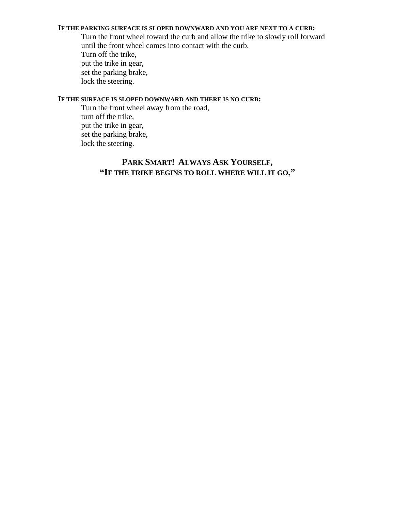#### **IF THE PARKING SURFACE IS SLOPED DOWNWARD AND YOU ARE NEXT TO A CURB:**

Turn the front wheel toward the curb and allow the trike to slowly roll forward until the front wheel comes into contact with the curb. Turn off the trike, put the trike in gear, set the parking brake, lock the steering.

#### **IF THE SURFACE IS SLOPED DOWNWARD AND THERE IS NO CURB:**

Turn the front wheel away from the road, turn off the trike, put the trike in gear, set the parking brake, lock the steering.

### **PARK SMART! ALWAYS ASK YOURSELF, "IF THE TRIKE BEGINS TO ROLL WHERE WILL IT GO,"**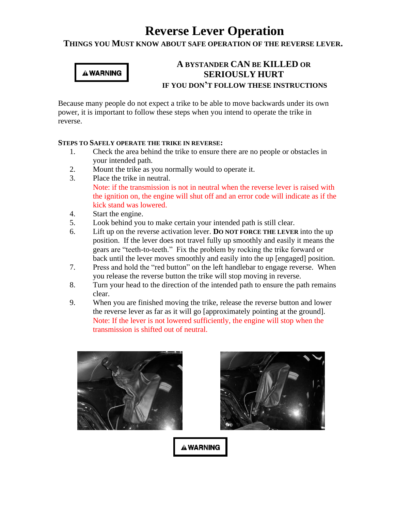# **Reverse Lever Operation**

**THINGS YOU MUST KNOW ABOUT SAFE OPERATION OF THE REVERSE LEVER.**

# **A WARNING**

### **A BYSTANDER CAN BE KILLED OR SERIOUSLY HURT IF YOU DON'T FOLLOW THESE INSTRUCTIONS**

Because many people do not expect a trike to be able to move backwards under its own power, it is important to follow these steps when you intend to operate the trike in reverse.

#### **STEPS TO SAFELY OPERATE THE TRIKE IN REVERSE:**

- 1. Check the area behind the trike to ensure there are no people or obstacles in your intended path.
- 2. Mount the trike as you normally would to operate it.
- 3. Place the trike in neutral. Note: if the transmission is not in neutral when the reverse lever is raised with the ignition on, the engine will shut off and an error code will indicate as if the kick stand was lowered.
- 4. Start the engine.
- 5. Look behind you to make certain your intended path is still clear.
- 6. Lift up on the reverse activation lever. **DO NOT FORCE THE LEVER** into the up position. If the lever does not travel fully up smoothly and easily it means the gears are "teeth-to-teeth." Fix the problem by rocking the trike forward or back until the lever moves smoothly and easily into the up [engaged] position.
- 7. Press and hold the "red button" on the left handlebar to engage reverse. When you release the reverse button the trike will stop moving in reverse.
- 8. Turn your head to the direction of the intended path to ensure the path remains clear.
- 9. When you are finished moving the trike, release the reverse button and lower the reverse lever as far as it will go [approximately pointing at the ground]. Note: If the lever is not lowered sufficiently, the engine will stop when the transmission is shifted out of neutral.





**A WARNING**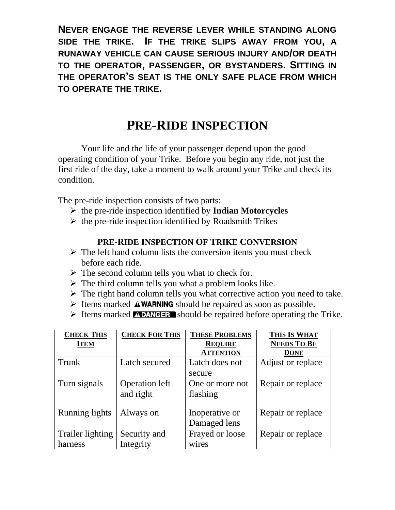**NEVER ENGAGE THE REVERSE LEVER WHILE STANDING ALONG SIDE THE TRIKE. IF THE TRIKE SLIPS AWAY FROM YOU, A RUNAWAY VEHICLE CAN CAUSE SERIOUS INJURY AND/OR DEATH TO THE OPERATOR, PASSENGER, OR BYSTANDERS. SITTING IN THE OPERATOR'S SEAT IS THE ONLY SAFE PLACE FROM WHICH TO OPERATE THE TRIKE.**

# **PRE-RIDE INSPECTION**

Your life and the life of your passenger depend upon the good operating condition of your Trike. Before you begin any ride, not just the first ride of the day, take a moment to walk around your Trike and check its condition.

The pre-ride inspection consists of two parts:

- ➢ the pre-ride inspection identified by **Indian Motorcycles**
- $\triangleright$  the pre-ride inspection identified by Roadsmith Trikes

### **PRE-RIDE INSPECTION OF TRIKE CONVERSION**

- $\triangleright$  The left hand column lists the conversion items you must check before each ride.
- $\triangleright$  The second column tells you what to check for.
- $\triangleright$  The third column tells you what a problem looks like.
- $\triangleright$  The right hand column tells you what corrective action you need to take.
- $\triangleright$  Items marked **AWARNING** should be repaired as soon as possible.
- $\triangleright$  Items marked **NUMEER** should be repaired before operating the Trike.

| <b>CHECK THIS</b>     | <b>CHECK FOR THIS</b> | <b>THESE PROBLEMS</b> | THIS IS WHAT       |
|-----------------------|-----------------------|-----------------------|--------------------|
| <b>ITEM</b>           |                       | <b>REQUIRE</b>        | <b>NEEDS TO BE</b> |
|                       |                       | <b>ATTENTION</b>      | <b>DONE</b>        |
| Trunk                 | Latch secured         | Latch does not        | Adjust or replace  |
|                       |                       | secure                |                    |
| Turn signals          | <b>Operation</b> left | One or more not       | Repair or replace  |
|                       | and right             | flashing              |                    |
| <b>Running lights</b> | Always on             | Inoperative or        | Repair or replace  |
|                       |                       | Damaged lens          |                    |
| Trailer lighting      | Security and          | Frayed or loose       | Repair or replace  |
| harness               | Integrity             | wires                 |                    |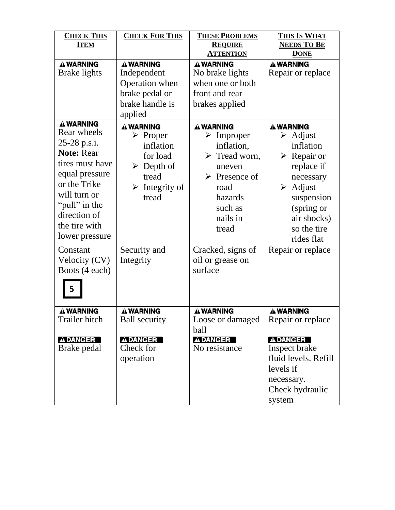| <b>CHECK THIS</b><br><b>ITEM</b>                                                                                                                                                                                          | <b>CHECK FOR THIS</b>                                                                                                                                         | <b>THESE PROBLEMS</b><br><b>REQUIRE</b><br><b>ATTENTION</b>                                                                                                                                            | THIS IS WHAT<br><b>NEEDS TO BE</b><br><b>DONE</b>                                                                                                                                                                                         |
|---------------------------------------------------------------------------------------------------------------------------------------------------------------------------------------------------------------------------|---------------------------------------------------------------------------------------------------------------------------------------------------------------|--------------------------------------------------------------------------------------------------------------------------------------------------------------------------------------------------------|-------------------------------------------------------------------------------------------------------------------------------------------------------------------------------------------------------------------------------------------|
| <b>A WARNING</b><br><b>Brake lights</b>                                                                                                                                                                                   | <b>A WARNING</b><br>Independent<br>Operation when<br>brake pedal or<br>brake handle is<br>applied                                                             | <b>A WARNING</b><br>No brake lights<br>when one or both<br>front and rear<br>brakes applied                                                                                                            | <b>A WARNING</b><br>Repair or replace                                                                                                                                                                                                     |
| <b>A WARNING</b><br>Rear wheels<br>25-28 p.s.i.<br><b>Note: Rear</b><br>tires must have<br>equal pressure<br>or the Trike<br>will turn or<br>"pull" in the<br>direction of<br>the tire with<br>lower pressure<br>Constant | A WARNING<br>$\triangleright$ Proper<br>inflation<br>for load<br>$\triangleright$ Depth of<br>tread<br>$\triangleright$ Integrity of<br>tread<br>Security and | A WARNING<br>$\triangleright$ Improper<br>inflation,<br>$\triangleright$ Tread worn,<br>uneven<br>$\triangleright$ Presence of<br>road<br>hazards<br>such as<br>nails in<br>tread<br>Cracked, signs of | <b>A WARNING</b><br>$\triangleright$ Adjust<br>inflation<br>$\triangleright$ Repair or<br>replace if<br>necessary<br>$\triangleright$ Adjust<br>suspension<br>(spring or<br>air shocks)<br>so the tire<br>rides flat<br>Repair or replace |
| Velocity (CV)<br>Boots (4 each)<br>5                                                                                                                                                                                      | Integrity                                                                                                                                                     | oil or grease on<br>surface                                                                                                                                                                            |                                                                                                                                                                                                                                           |
| <b>A WARNING</b><br>Trailer hitch                                                                                                                                                                                         | <b>A WARNING</b><br><b>Ball security</b>                                                                                                                      | <b>A WARNING</b><br>Loose or damaged<br>ball                                                                                                                                                           | <b>A WARNING</b><br>Repair or replace                                                                                                                                                                                                     |
| <b>ADANGER</b><br>Brake pedal                                                                                                                                                                                             | <b>ADANGER</b><br>Check for<br>operation                                                                                                                      | <b>ADANGER</b><br>No resistance                                                                                                                                                                        | <b>ADANGER</b><br>Inspect brake<br>fluid levels. Refill<br>levels if<br>necessary.<br>Check hydraulic<br>system                                                                                                                           |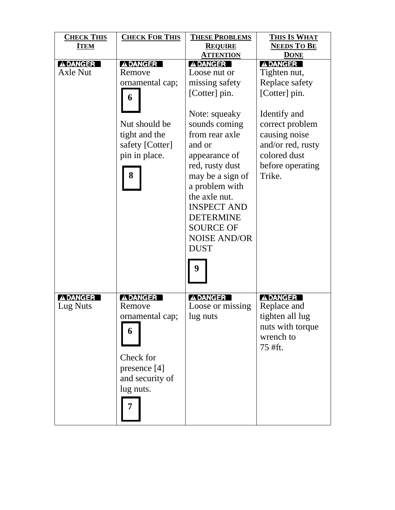| <b>CHECK THIS</b> | <b>CHECK FOR THIS</b> | <b>THESE PROBLEMS</b> | THIS IS WHAT       |
|-------------------|-----------------------|-----------------------|--------------------|
| <b>ITEM</b>       |                       | <b>REQUIRE</b>        | <b>NEEDS TO BE</b> |
|                   |                       | <b>ATTENTION</b>      | <b>DONE</b>        |
| <b>ADANGER</b>    | <b>ADANGER</b>        | <b>ADANGER</b>        | <b>ADANGER</b>     |
| <b>Axle Nut</b>   | Remove                | Loose nut or          | Tighten nut,       |
|                   | ornamental cap;       | missing safety        | Replace safety     |
|                   | 6                     | [Cotter] pin.         | [Cotter] pin.      |
|                   |                       | Note: squeaky         | Identify and       |
|                   | Nut should be         | sounds coming         | correct problem    |
|                   | tight and the         | from rear axle        | causing noise      |
|                   | safety [Cotter]       | and or                | and/or red, rusty  |
|                   | pin in place.         | appearance of         | colored dust       |
|                   |                       | red, rusty dust       | before operating   |
|                   | 8                     | may be a sign of      | Trike.             |
|                   |                       | a problem with        |                    |
|                   |                       | the axle nut.         |                    |
|                   |                       | <b>INSPECT AND</b>    |                    |
|                   |                       | <b>DETERMINE</b>      |                    |
|                   |                       | <b>SOURCE OF</b>      |                    |
|                   |                       |                       |                    |
|                   |                       | <b>NOISE AND/OR</b>   |                    |
|                   |                       | <b>DUST</b>           |                    |
|                   |                       | 9                     |                    |
| <b>ADANGER</b>    | <b>ADANGER</b>        | <b>ADANGER</b>        | <b>ADANGER</b>     |
| Lug Nuts          | Remove                | Loose or missing      | Replace and        |
|                   | ornamental cap;       | lug nuts              | tighten all lug    |
|                   |                       |                       | nuts with torque   |
|                   | 6                     |                       | wrench to          |
|                   |                       |                       | 75 #ft.            |
|                   | Check for             |                       |                    |
|                   | presence [4]          |                       |                    |
|                   | and security of       |                       |                    |
|                   | lug nuts.             |                       |                    |
|                   |                       |                       |                    |
|                   |                       |                       |                    |
|                   |                       |                       |                    |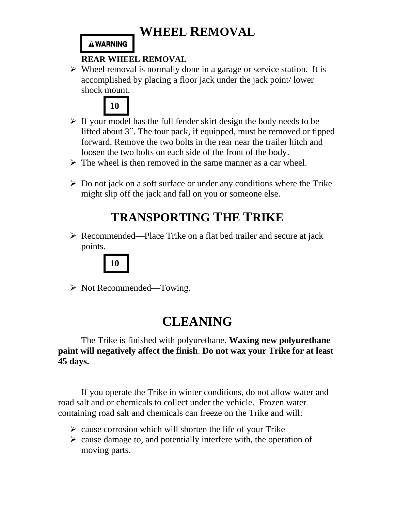# **WHEEL REMOVAL**

### **A WARNING**

## **REAR WHEEL REMOVAL**

➢ Wheel removal is normally done in a garage or service station. It is accomplished by placing a floor jack under the jack point/ lower shock mount.



- $\triangleright$  If your model has the full fender skirt design the body needs to be lifted about 3". The tour pack, if equipped, must be removed or tipped forward. Remove the two bolts in the rear near the trailer hitch and loosen the two bolts on each side of the front of the body.
- $\triangleright$  The wheel is then removed in the same manner as a car wheel.
- $\triangleright$  Do not jack on a soft surface or under any conditions where the Trike might slip off the jack and fall on you or someone else.

# **TRANSPORTING THE TRIKE**

➢ Recommended—Place Trike on a flat bed trailer and secure at jack points.



➢ Not Recommended—Towing.

# **CLEANING**

The Trike is finished with polyurethane. **Waxing new polyurethane paint will negatively affect the finish**. **Do not wax your Trike for at least 45 days.**

If you operate the Trike in winter conditions, do not allow water and road salt and or chemicals to collect under the vehicle. Frozen water containing road salt and chemicals can freeze on the Trike and will:

- $\triangleright$  cause corrosion which will shorten the life of your Trike
- $\triangleright$  cause damage to, and potentially interfere with, the operation of moving parts.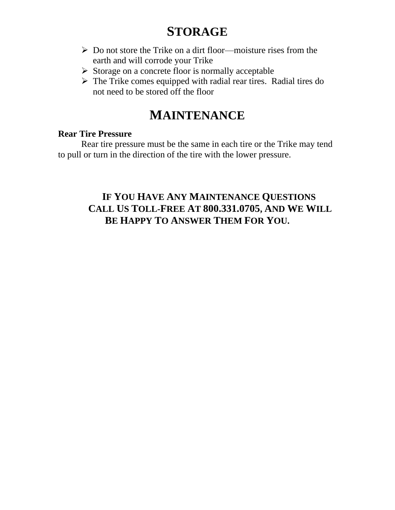# **STORAGE**

- ➢ Do not store the Trike on a dirt floor—moisture rises from the earth and will corrode your Trike
- ➢ Storage on a concrete floor is normally acceptable
- ➢ The Trike comes equipped with radial rear tires. Radial tires do not need to be stored off the floor

# **MAINTENANCE**

### **Rear Tire Pressure**

Rear tire pressure must be the same in each tire or the Trike may tend to pull or turn in the direction of the tire with the lower pressure.

# **IF YOU HAVE ANY MAINTENANCE QUESTIONS CALL US TOLL-FREE AT 800.331.0705, AND WE WILL BE HAPPY TO ANSWER THEM FOR YOU.**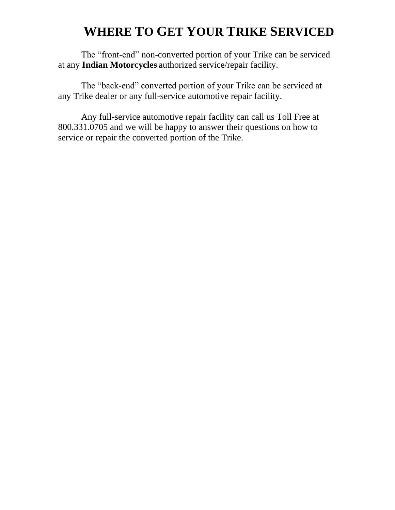# **WHERE TO GET YOUR TRIKE SERVICED**

The "front-end" non-converted portion of your Trike can be serviced at any **Indian Motorcycles** authorized service/repair facility.

The "back-end" converted portion of your Trike can be serviced at any Trike dealer or any full-service automotive repair facility.

Any full-service automotive repair facility can call us Toll Free at 800.331.0705 and we will be happy to answer their questions on how to service or repair the converted portion of the Trike.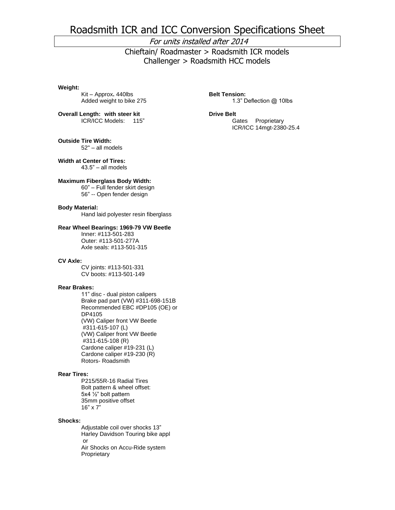# Roadsmith ICR and ICC Conversion Specifications Sheet

#### For units installed after 2014

 Chieftain/ Roadmaster > Roadsmith ICR models Challenger > Roadsmith HCC models

#### **Weight:**

Kit – Approx**.** 440lbs Added weight to bike 275

**Overall Length: with steer kit** ICR/ICC Models: 115"

**Outside Tire Width:**

52" – all models

**Width at Center of Tires:** 43.5" – all models

#### **Maximum Fiberglass Body Width:**

60" – Full fender skirt design 56" -- Open fender design

#### **Body Material:**

Hand laid polyester resin fiberglass

#### **Rear Wheel Bearings: 1969-79 VW Beetle**

Inner: #113-501-283 Outer: #113-501-277A Axle seals: #113-501-315

#### **CV Axle:**

CV joints: #113-501-331 CV boots: #113-501-149

#### **Rear Brakes:**

11" disc - dual piston calipers Brake pad part (VW) #311-698-151B Recommended EBC #DP105 (OE) or DP4105 (VW) Caliper front VW Beetle #311-615-107 (L) (VW) Caliper front VW Beetle #311-615-108 (R) Cardone caliper #19-231 (L) Cardone caliper #19-230 (R) Rotors- Roadsmith

#### **Rear Tires:**

P215/55R-16 Radial Tires Bolt pattern & wheel offset: 5x4 ½" bolt pattern 35mm positive offset 16" x 7"

#### **Shocks:**

Adjustable coil over shocks 13" Harley Davidson Touring bike appl or Air Shocks on Accu-Ride system **Proprietary** 

**Belt Tension:** 1.3" Deflection @ 10lbs

#### **Drive Belt**

Gates Proprietary ICR/ICC 14mgt-2380-25.4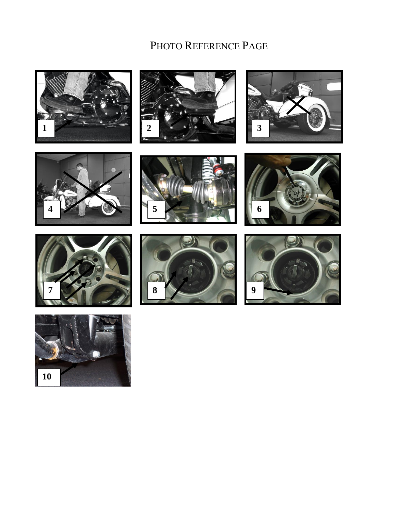# PHOTO REFERENCE PAGE